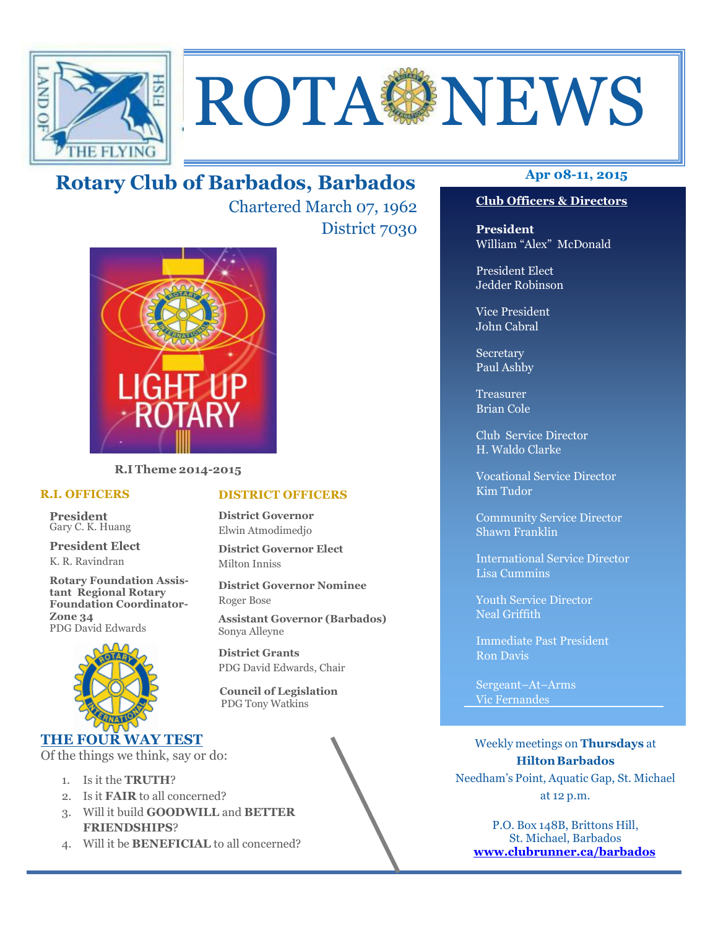



# **Apr 08-11, 2015 Rotary Club of Barbados, Barbados**

Chartered March 07, 1962 District 7030



**R.I Theme 2014-2015** 

#### **R.I. OFFICERS**

**President** Gary C. K. Huang

**President Elect** K. R. Ravindran

**Rotary Foundation Assistant Regional Rotary Foundation Coordinator-Zone 34**  PDG David Edwards



#### **THE FOUR WAY TEST**

Of the things we think, say or do:

- 1. Is it the **TRUTH**?
- 2. Is it **FAIR** to all concerned?
- 3. Will it build **GOODWILL** and **BETTER FRIENDSHIPS**?
- 4. Will it be **BENEFICIAL** to all concerned?

## **Club Officers & Directors**

**President** William "Alex" McDonald

President Elect Jedder Robinson

Vice President John Cabral

Secretary Paul Ashby

Treasurer Brian Cole

Club Service Director H. Waldo Clarke

Vocational Service Director Kim Tudor

Community Service Director Shawn Franklin

International Service Director Lisa Cummins

Youth Service Director Neal Griffith

Immediate Past President Ron Davis

Sergeant–At–Arms Vic Fernandes

Weekly meetings on **Thursdays** at **Hilton Barbados** Needham's Point, Aquatic Gap, St. Michael at 12 p.m.

P.O. Box 148B, Brittons Hill, St. Michael, Barbados **www.clubrunner.ca/barbados**

## **DISTRICT OFFICERS**

**District Governor** Elwin Atmodimedjo

**District Governor Elect** Milton Inniss

**District Governor Nominee**  Roger Bose

**Assistant Governor (Barbados)** Sonya Alleyne

**District Grants**  PDG David Edwards, Chair

 **Council of Legislation**  PDG Tony Watkins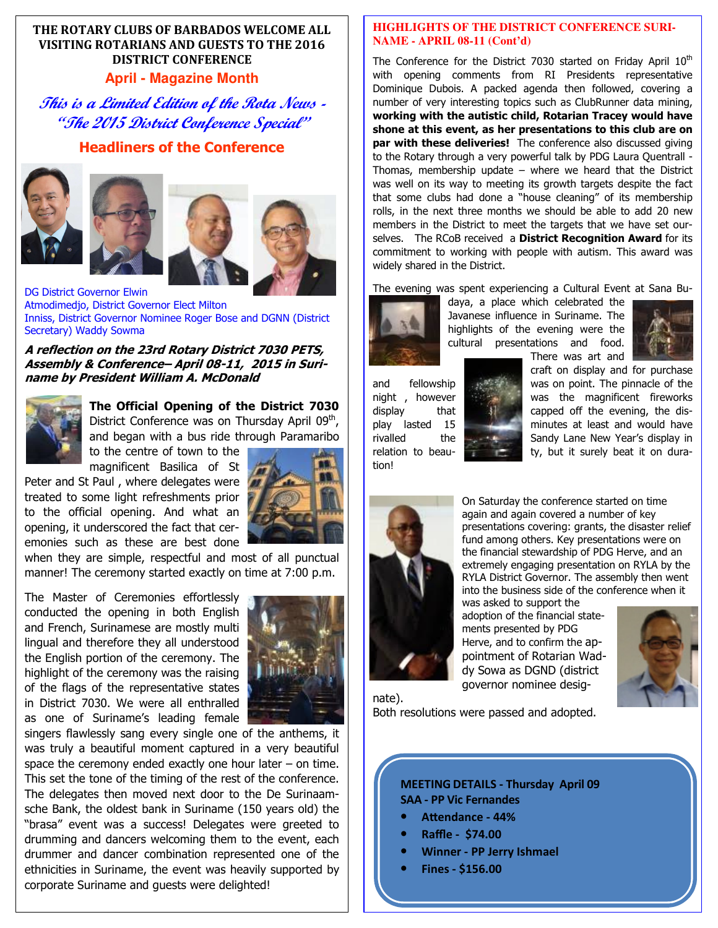### **THE ROTARY CLUBS OF BARBADOS WELCOME ALL VISITING ROTARIANS AND GUESTS TO THE 2016 DISTRICT CONFERENCE**

#### **April - Magazine Month**

**This is a Limited Edition of the Rota News - "The 2015 District Conference Special"** 

#### **Headliners of the Conference**







DG District Governor Elwin Atmodimedjo, District Governor Elect Milton Inniss, District Governor Nominee Roger Bose and DGNN (District Secretary) Waddy Sowma

**A reflection on the 23rd Rotary District 7030 PETS, Assembly & Conference– April 08-11, 2015 in Suriname by President William A. McDonald** 



**The Official Opening of the District 7030** District Conference was on Thursday April 09<sup>th</sup>, and began with a bus ride through Paramaribo

to the centre of town to the magnificent Basilica of St

Peter and St Paul , where delegates were treated to some light refreshments prior to the official opening. And what an opening, it underscored the fact that ceremonies such as these are best done

when they are simple, respectful and most of all punctual manner! The ceremony started exactly on time at 7:00 p.m.

The Master of Ceremonies effortlessly conducted the opening in both English and French, Surinamese are mostly multi lingual and therefore they all understood the English portion of the ceremony. The highlight of the ceremony was the raising of the flags of the representative states in District 7030. We were all enthralled as one of Suriname's leading female



 corporate Suriname and guests were delighted! singers flawlessly sang every single one of the anthems, it was truly a beautiful moment captured in a very beautiful space the ceremony ended exactly one hour later  $-$  on time. This set the tone of the timing of the rest of the conference. The delegates then moved next door to the De Surinaamsche Bank, the oldest bank in Suriname (150 years old) the "brasa" event was a success! Delegates were greeted to drumming and dancers welcoming them to the event, each drummer and dancer combination represented one of the ethnicities in Suriname, the event was heavily supported by

#### **HIGHLIGHTS OF THE DISTRICT CONFERENCE SURI-NAME - APRIL 08-11 (Cont'd)**

The Conference for the District 7030 started on Friday April  $10<sup>th</sup>$ with opening comments from RI Presidents representative Dominique Dubois. A packed agenda then followed, covering a number of very interesting topics such as ClubRunner data mining, **working with the autistic child, Rotarian Tracey would have shone at this event, as her presentations to this club are on par with these deliveries!** The conference also discussed giving to the Rotary through a very powerful talk by PDG Laura Quentrall - Thomas, membership update – where we heard that the District was well on its way to meeting its growth targets despite the fact that some clubs had done a "house cleaning" of its membership rolls, in the next three months we should be able to add 20 new members in the District to meet the targets that we have set ourselves. The RCoB received a **District Recognition Award** for its commitment to working with people with autism. This award was widely shared in the District.

The evening was spent experiencing a Cultural Event at Sana Bu-



daya, a place which celebrated the Javanese influence in Suriname. The highlights of the evening were the cultural presentations and food. There was art and



tion!



craft on display and for purchase and fellowship was on point. The pinnacle of the night, however was the magnificent fireworks display that **that the state of the evening**, the display lasted 15 **Minutes at least and would have** rivalled the Sandy Lane New Year's display in relation to beau-



On Saturday the conference started on time again and again covered a number of key presentations covering: grants, the disaster relief fund among others. Key presentations were on the financial stewardship of PDG Herve, and an extremely engaging presentation on RYLA by the RYLA District Governor. The assembly then went into the business side of the conference when it

was asked to support the adoption of the financial statements presented by PDG Herve, and to confirm the appointment of Rotarian Waddy Sowa as DGND (district governor nominee desig-



nate).

Both resolutions were passed and adopted.

#### **MEETING DETAILS - Thursday April 09 SAA - PP Vic Fernandes**

- Attendance 44%
- **Raffle \$74.00**
- **Winner PP Jerry Ishmael**
- **Fines \$156.00**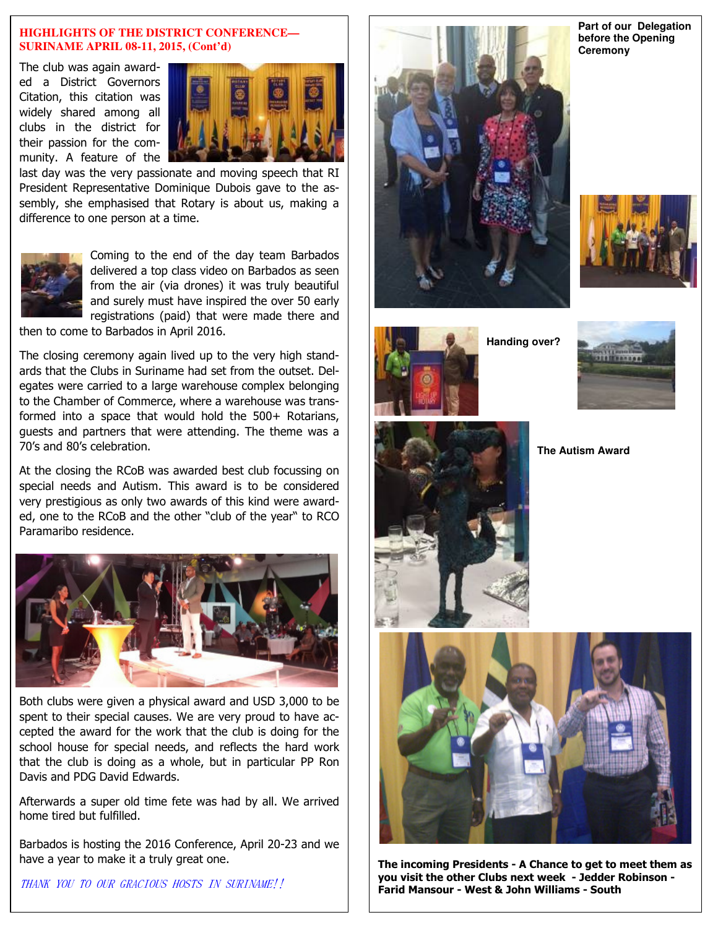#### **HIGHLIGHTS OF THE DISTRICT CONFERENCE— SURINAME APRIL 08-11, 2015, (Cont'd)**

The club was again awarded a District Governors Citation, this citation was widely shared among all clubs in the district for their passion for the community. A feature of the



last day was the very passionate and moving speech that RI President Representative Dominique Dubois gave to the assembly, she emphasised that Rotary is about us, making a difference to one person at a time.



Coming to the end of the day team Barbados delivered a top class video on Barbados as seen from the air (via drones) it was truly beautiful and surely must have inspired the over 50 early registrations (paid) that were made there and

then to come to Barbados in April 2016.

The closing ceremony again lived up to the very high standards that the Clubs in Suriname had set from the outset. Delegates were carried to a large warehouse complex belonging to the Chamber of Commerce, where a warehouse was transformed into a space that would hold the 500+ Rotarians, guests and partners that were attending. The theme was a 70's and 80's celebration.

At the closing the RCoB was awarded best club focussing on special needs and Autism. This award is to be considered very prestigious as only two awards of this kind were awarded, one to the RCoB and the other "club of the year" to RCO Paramaribo residence.



Both clubs were given a physical award and USD 3,000 to be spent to their special causes. We are very proud to have accepted the award for the work that the club is doing for the school house for special needs, and reflects the hard work that the club is doing as a whole, but in particular PP Ron Davis and PDG David Edwards.

Afterwards a super old time fete was had by all. We arrived home tired but fulfilled.

Barbados is hosting the 2016 Conference, April 20-23 and we have a year to make it a truly great one.

THANK YOU TO OUR GRACIOUS HOSTS IN SURINAME!!







**Handing over?** 









**The incoming Presidents - A Chance to get to meet them as you visit the other Clubs next week - Jedder Robinson - Farid Mansour - West & John Williams - South** 

**Part of our Delegation before the Opening Ceremony**